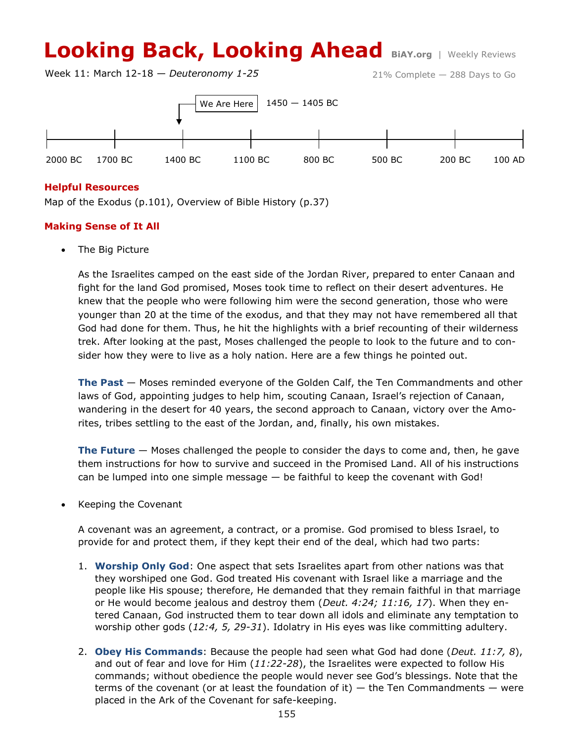# **Looking Back, Looking Ahead BiAY.org** | Weekly Reviews

Week 11: March 12-18 — *Deuteronomy 1-25*

21% Complete — 288 Days to Go



#### **Helpful Resources**

Map of the Exodus (p.101), Overview of Bible History (p.37)

## **Making Sense of It All**

The Big Picture

As the Israelites camped on the east side of the Jordan River, prepared to enter Canaan and fight for the land God promised, Moses took time to reflect on their desert adventures. He knew that the people who were following him were the second generation, those who were younger than 20 at the time of the exodus, and that they may not have remembered all that God had done for them. Thus, he hit the highlights with a brief recounting of their wilderness trek. After looking at the past, Moses challenged the people to look to the future and to consider how they were to live as a holy nation. Here are a few things he pointed out.

**The Past** — Moses reminded everyone of the Golden Calf, the Ten Commandments and other laws of God, appointing judges to help him, scouting Canaan, Israel's rejection of Canaan, wandering in the desert for 40 years, the second approach to Canaan, victory over the Amorites, tribes settling to the east of the Jordan, and, finally, his own mistakes.

**The Future** — Moses challenged the people to consider the days to come and, then, he gave them instructions for how to survive and succeed in the Promised Land. All of his instructions can be lumped into one simple message — be faithful to keep the covenant with God!

Keeping the Covenant

A covenant was an agreement, a contract, or a promise. God promised to bless Israel, to provide for and protect them, if they kept their end of the deal, which had two parts:

- 1. **Worship Only God**: One aspect that sets Israelites apart from other nations was that they worshiped one God. God treated His covenant with Israel like a marriage and the people like His spouse; therefore, He demanded that they remain faithful in that marriage or He would become jealous and destroy them (*Deut. 4:24; 11:16, 17*). When they entered Canaan, God instructed them to tear down all idols and eliminate any temptation to worship other gods (*12:4, 5, 29-31*). Idolatry in His eyes was like committing adultery.
- 2. **Obey His Commands**: Because the people had seen what God had done (*Deut. 11:7, 8*), and out of fear and love for Him (*11:22-28*), the Israelites were expected to follow His commands; without obedience the people would never see God's blessings. Note that the terms of the covenant (or at least the foundation of it)  $-$  the Ten Commandments  $-$  were placed in the Ark of the Covenant for safe-keeping.